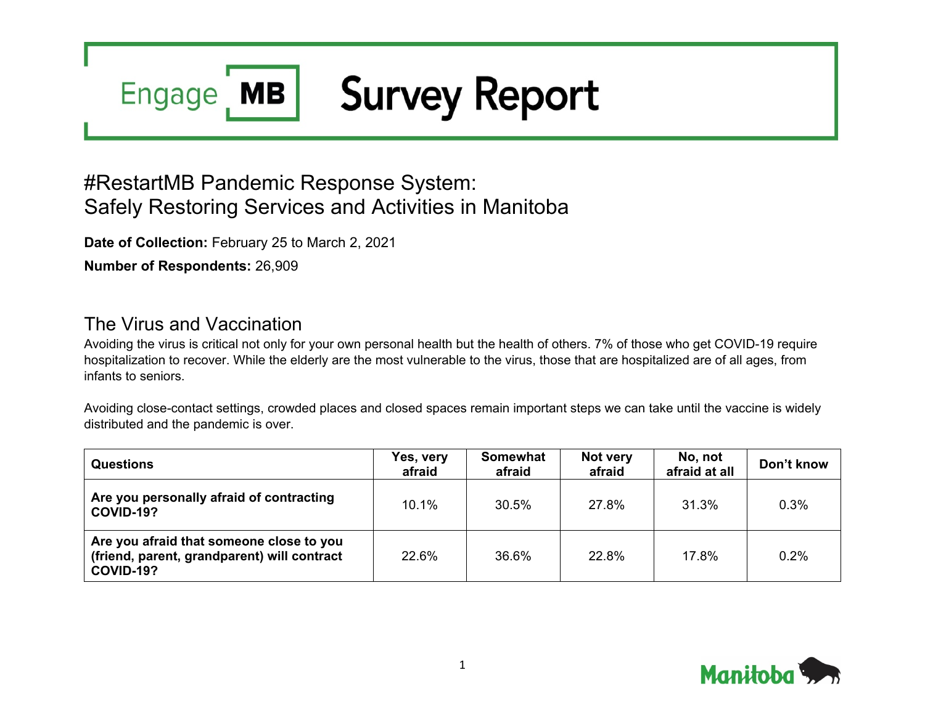### **Survey Report MB Engage**

# #RestartMB Pandemic Response System: Safely Restoring Services and Activities in Manitoba

**Date of Collection:** February 25 to March 2, 2021

**Number of Respondents:** 26,909

## The Virus and Vaccination

Avoiding the virus is critical not only for your own personal health but the health of others. 7% of those who get COVID-19 require hospitalization to recover. While the elderly are the most vulnerable to the virus, those that are hospitalized are of all ages, from infants to seniors.

Avoiding close-contact settings, crowded places and closed spaces remain important steps we can take until the vaccine is widely distributed and the pandemic is over.

| <b>Questions</b>                                                                                     | Yes, very<br>afraid | <b>Somewhat</b><br>afraid | Not very<br>afraid | No, not<br>afraid at all | Don't know |
|------------------------------------------------------------------------------------------------------|---------------------|---------------------------|--------------------|--------------------------|------------|
| Are you personally afraid of contracting<br>COVID-19?                                                | $10.1\%$            | 30.5%                     | 27.8%              | 31.3%                    | 0.3%       |
| Are you afraid that someone close to you<br>(friend, parent, grandparent) will contract<br>COVID-19? | <b>22.6%</b>        | 36.6%                     | 22.8%              | 17.8%                    | 0.2%       |

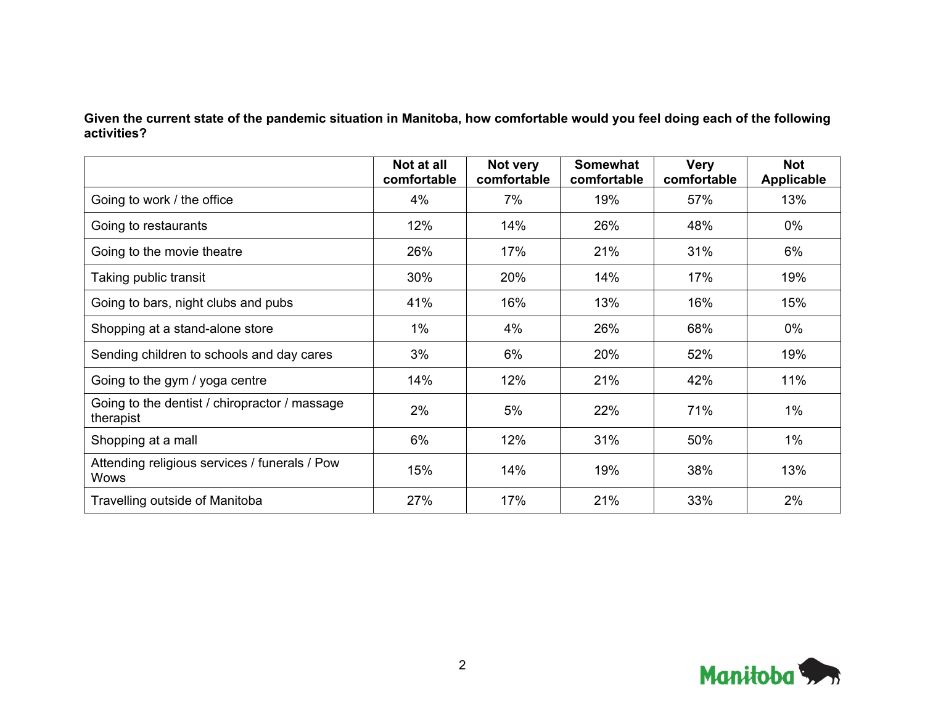**Given the current state of the pandemic situation in Manitoba, how comfortable would you feel doing each of the following activities?**

|                                                              | Not at all<br>comfortable | Not very<br>comfortable | <b>Somewhat</b><br>comfortable | <b>Very</b><br>comfortable | <b>Not</b><br><b>Applicable</b> |
|--------------------------------------------------------------|---------------------------|-------------------------|--------------------------------|----------------------------|---------------------------------|
| Going to work / the office                                   | 4%                        | 7%                      | 19%                            | 57%                        | 13%                             |
| Going to restaurants                                         | 12%                       | 14%                     | 26%                            | 48%                        | 0%                              |
| Going to the movie theatre                                   | 26%                       | 17%                     | 21%                            | 31%                        | 6%                              |
| Taking public transit                                        | 30%                       | 20%                     | 14%                            | 17%                        | 19%                             |
| Going to bars, night clubs and pubs                          | 41%                       | 16%                     | 13%                            | 16%                        | 15%                             |
| Shopping at a stand-alone store                              | $1\%$                     | 4%                      | 26%                            | 68%                        | 0%                              |
| Sending children to schools and day cares                    | 3%                        | 6%                      | 20%                            | 52%                        | 19%                             |
| Going to the gym / yoga centre                               | 14%                       | 12%                     | 21%                            | 42%                        | 11%                             |
| Going to the dentist / chiropractor / massage<br>therapist   | 2%                        | 5%                      | 22%                            | 71%                        | $1\%$                           |
| Shopping at a mall                                           | 6%                        | 12%                     | 31%                            | 50%                        | $1\%$                           |
| Attending religious services / funerals / Pow<br><b>Wows</b> | 15%                       | 14%                     | 19%                            | 38%                        | 13%                             |
| Travelling outside of Manitoba                               | 27%                       | 17%                     | 21%                            | 33%                        | 2%                              |

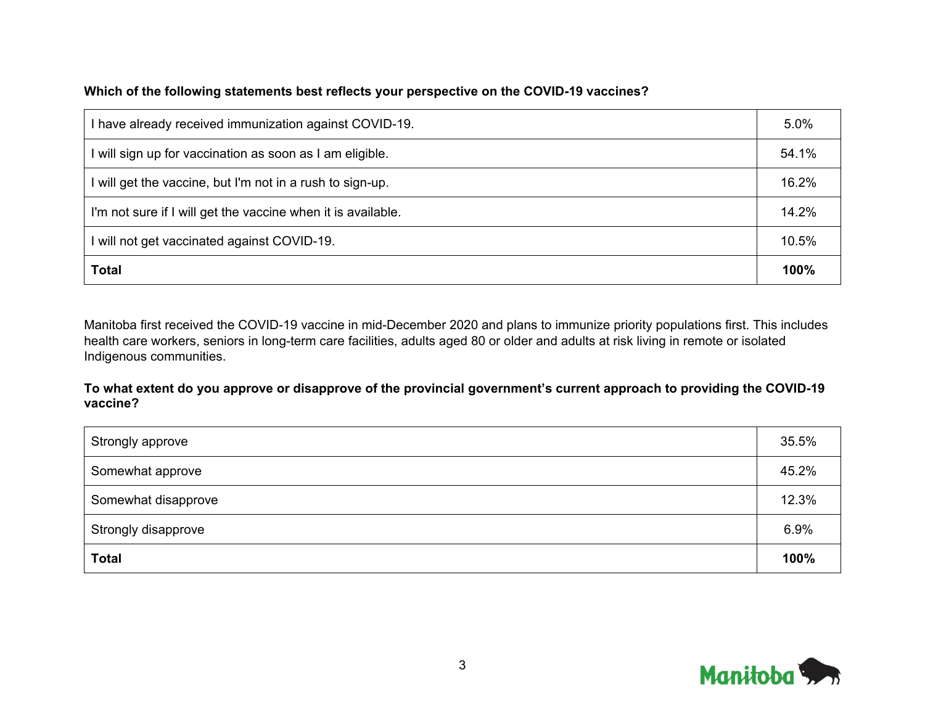#### **Which of the following statements best reflects your perspective on the COVID-19 vaccines?**

| I have already received immunization against COVID-19.       | 5.0%  |
|--------------------------------------------------------------|-------|
| I will sign up for vaccination as soon as I am eligible.     | 54.1% |
| I will get the vaccine, but I'm not in a rush to sign-up.    | 16.2% |
| I'm not sure if I will get the vaccine when it is available. | 14.2% |
| I will not get vaccinated against COVID-19.                  | 10.5% |
| <b>Total</b>                                                 | 100%  |

Manitoba first received the COVID-19 vaccine in mid-December 2020 and plans to immunize priority populations first. This includes health care workers, seniors in long-term care facilities, adults aged 80 or older and adults at risk living in remote or isolated Indigenous communities.

**To what extent do you approve or disapprove of the provincial government's current approach to providing the COVID-19 vaccine?**

| Strongly approve    | 35.5% |
|---------------------|-------|
| Somewhat approve    | 45.2% |
| Somewhat disapprove | 12.3% |
| Strongly disapprove | 6.9%  |
| <b>Total</b>        | 100%  |

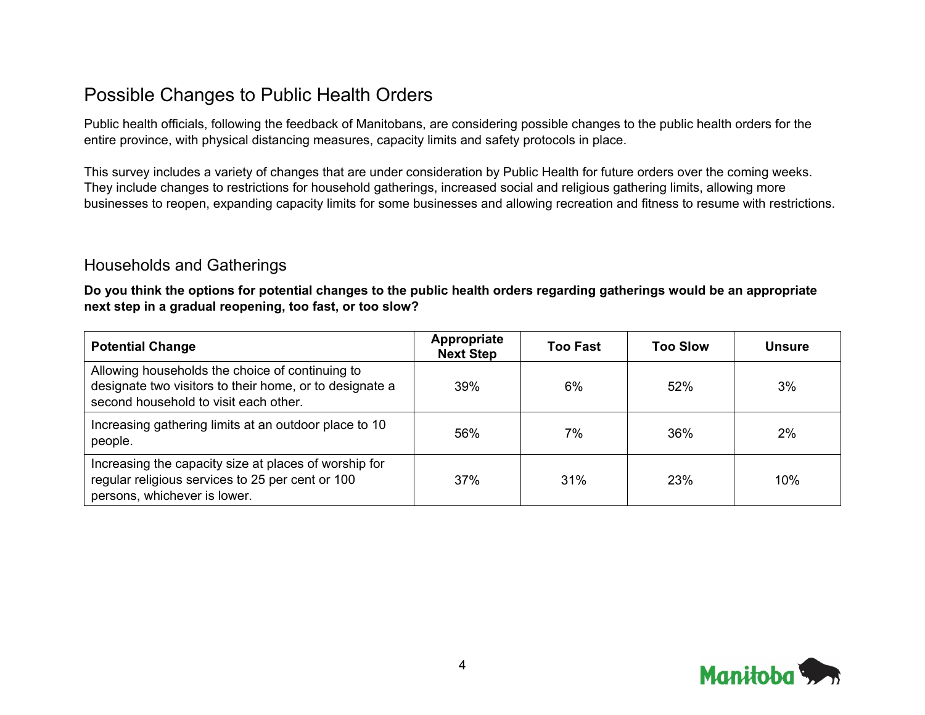## Possible Changes to Public Health Orders

Public health officials, following the feedback of Manitobans, are considering possible changes to the public health orders for the entire province, with physical distancing measures, capacity limits and safety protocols in place.

This survey includes a variety of changes that are under consideration by Public Health for future orders over the coming weeks. They include changes to restrictions for household gatherings, increased social and religious gathering limits, allowing more businesses to reopen, expanding capacity limits for some businesses and allowing recreation and fitness to resume with restrictions.

#### Households and Gatherings

**Do you think the options for potential changes to the public health orders regarding gatherings would be an appropriate next step in a gradual reopening, too fast, or too slow?**

| <b>Potential Change</b>                                                                                                                             | Appropriate<br><b>Next Step</b> | <b>Too Fast</b> | <b>Too Slow</b> | <b>Unsure</b> |
|-----------------------------------------------------------------------------------------------------------------------------------------------------|---------------------------------|-----------------|-----------------|---------------|
| Allowing households the choice of continuing to<br>designate two visitors to their home, or to designate a<br>second household to visit each other. | 39%                             | 6%              | 52%             | 3%            |
| Increasing gathering limits at an outdoor place to 10<br>people.                                                                                    | 56%                             | 7%              | 36%             | 2%            |
| Increasing the capacity size at places of worship for<br>regular religious services to 25 per cent or 100<br>persons, whichever is lower.           | 37%                             | 31%             | 23%             | 10%           |

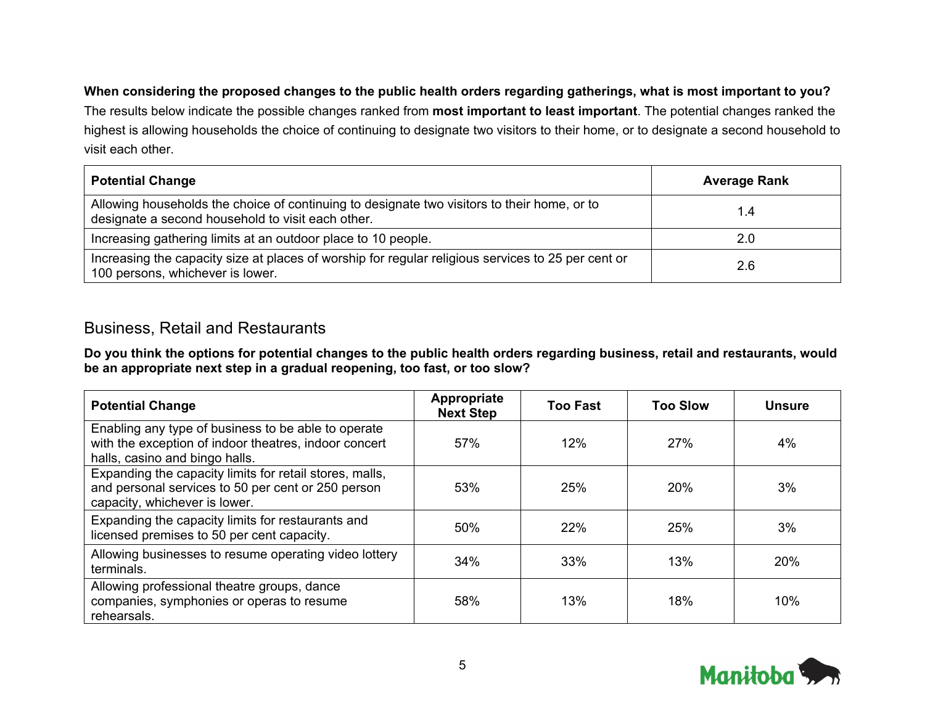#### **When considering the proposed changes to the public health orders regarding gatherings, what is most important to you?**

The results below indicate the possible changes ranked from **most important to least important**. The potential changes ranked the highest is allowing households the choice of continuing to designate two visitors to their home, or to designate a second household to visit each other.

| <b>Potential Change</b>                                                                                                                          | <b>Average Rank</b> |
|--------------------------------------------------------------------------------------------------------------------------------------------------|---------------------|
| Allowing households the choice of continuing to designate two visitors to their home, or to<br>designate a second household to visit each other. | 1.4                 |
| Increasing gathering limits at an outdoor place to 10 people.                                                                                    | 2.0                 |
| Increasing the capacity size at places of worship for regular religious services to 25 per cent or<br>100 persons, whichever is lower.           | 2.6                 |

#### Business, Retail and Restaurants

**Do you think the options for potential changes to the public health orders regarding business, retail and restaurants, would be an appropriate next step in a gradual reopening, too fast, or too slow?**

| <b>Potential Change</b>                                                                                                                        | Appropriate<br><b>Next Step</b> | <b>Too Fast</b> | <b>Too Slow</b> | <b>Unsure</b> |
|------------------------------------------------------------------------------------------------------------------------------------------------|---------------------------------|-----------------|-----------------|---------------|
| Enabling any type of business to be able to operate<br>with the exception of indoor theatres, indoor concert<br>halls, casino and bingo halls. | 57%                             | 12%             | 27%             | 4%            |
| Expanding the capacity limits for retail stores, malls,<br>and personal services to 50 per cent or 250 person<br>capacity, whichever is lower. | 53%                             | 25%             | 20%             | 3%            |
| Expanding the capacity limits for restaurants and<br>licensed premises to 50 per cent capacity.                                                | 50%                             | 22%             | 25%             | 3%            |
| Allowing businesses to resume operating video lottery<br>terminals.                                                                            | 34%                             | 33%             | 13%             | 20%           |
| Allowing professional theatre groups, dance<br>companies, symphonies or operas to resume<br>rehearsals.                                        | 58%                             | 13%             | 18%             | 10%           |

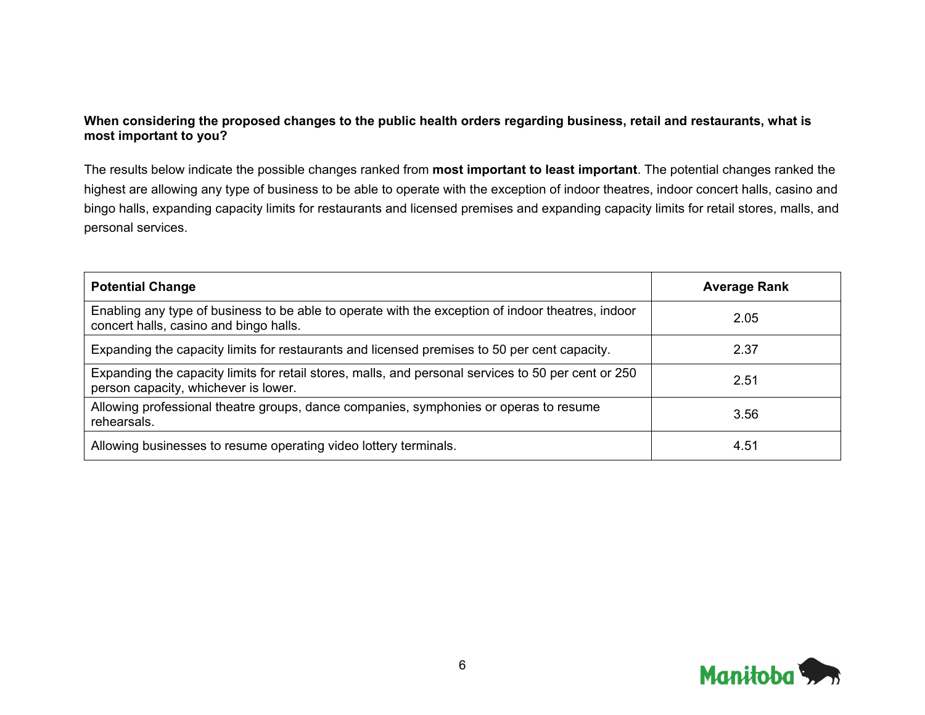#### **When considering the proposed changes to the public health orders regarding business, retail and restaurants, what is most important to you?**

The results below indicate the possible changes ranked from **most important to least important**. The potential changes ranked the highest are allowing any type of business to be able to operate with the exception of indoor theatres, indoor concert halls, casino and bingo halls, expanding capacity limits for restaurants and licensed premises and expanding capacity limits for retail stores, malls, and personal services.

| <b>Potential Change</b>                                                                                                                     | <b>Average Rank</b> |
|---------------------------------------------------------------------------------------------------------------------------------------------|---------------------|
| Enabling any type of business to be able to operate with the exception of indoor theatres, indoor<br>concert halls, casino and bingo halls. | 2.05                |
| Expanding the capacity limits for restaurants and licensed premises to 50 per cent capacity.                                                | 2.37                |
| Expanding the capacity limits for retail stores, malls, and personal services to 50 per cent or 250<br>person capacity, whichever is lower. | 2.51                |
| Allowing professional theatre groups, dance companies, symphonies or operas to resume<br>rehearsals.                                        | 3.56                |
| Allowing businesses to resume operating video lottery terminals.                                                                            | 4.51                |

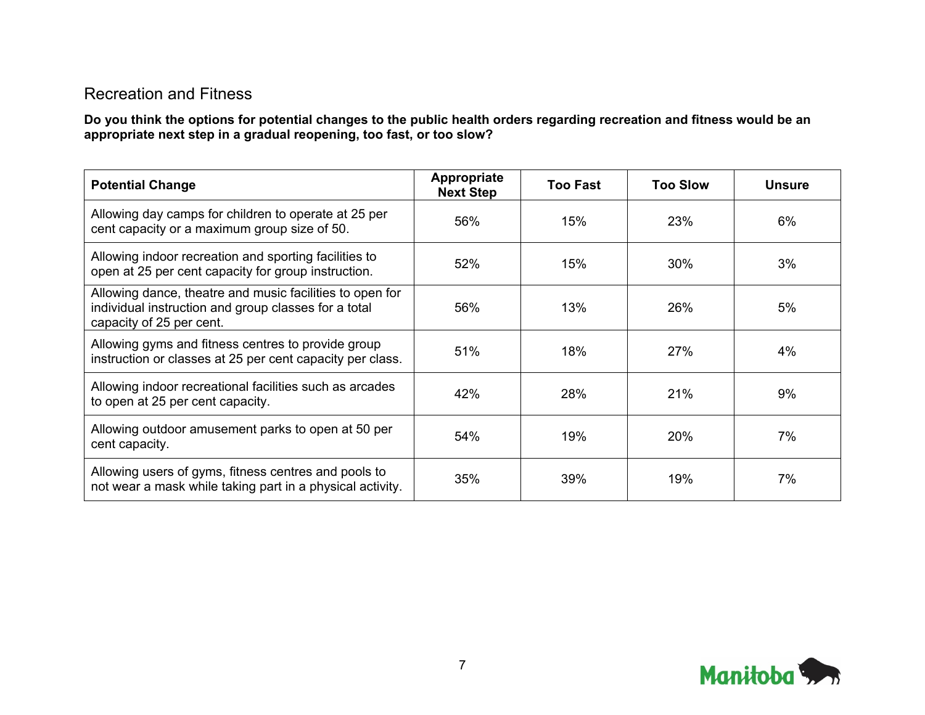### Recreation and Fitness

**Do you think the options for potential changes to the public health orders regarding recreation and fitness would be an appropriate next step in a gradual reopening, too fast, or too slow?**

| <b>Potential Change</b>                                                                                                                      | Appropriate<br><b>Next Step</b> | <b>Too Fast</b> | <b>Too Slow</b> | <b>Unsure</b> |
|----------------------------------------------------------------------------------------------------------------------------------------------|---------------------------------|-----------------|-----------------|---------------|
| Allowing day camps for children to operate at 25 per<br>cent capacity or a maximum group size of 50.                                         | 56%                             | 15%             | 23%             | 6%            |
| Allowing indoor recreation and sporting facilities to<br>open at 25 per cent capacity for group instruction.                                 | 52%                             | 15%             | 30%             | 3%            |
| Allowing dance, theatre and music facilities to open for<br>individual instruction and group classes for a total<br>capacity of 25 per cent. | 56%                             | 13%             | 26%             | 5%            |
| Allowing gyms and fitness centres to provide group<br>instruction or classes at 25 per cent capacity per class.                              | 51%                             | 18%             | 27%             | 4%            |
| Allowing indoor recreational facilities such as arcades<br>to open at 25 per cent capacity.                                                  | 42%                             | 28%             | 21%             | 9%            |
| Allowing outdoor amusement parks to open at 50 per<br>cent capacity.                                                                         | 54%                             | 19%             | 20%             | 7%            |
| Allowing users of gyms, fitness centres and pools to<br>not wear a mask while taking part in a physical activity.                            | 35%                             | 39%             | 19%             | 7%            |